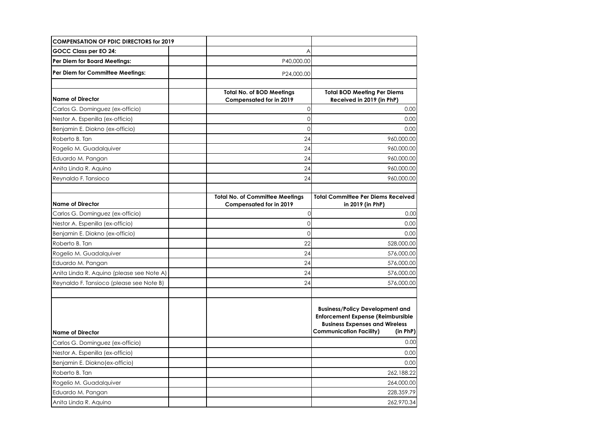| <b>COMPENSATION OF PDIC DIRECTORS for 2019</b> |                                                                          |                                                                                                                                                                    |
|------------------------------------------------|--------------------------------------------------------------------------|--------------------------------------------------------------------------------------------------------------------------------------------------------------------|
| GOCC Class per EO 24:                          | A                                                                        |                                                                                                                                                                    |
| Per Diem for Board Meetings:                   | P40,000.00                                                               |                                                                                                                                                                    |
| Per Diem for Committee Meetings:               | P24,000.00                                                               |                                                                                                                                                                    |
| lName of Director                              | <b>Total No. of BOD Meetings</b><br>Compensated for in 2019              | <b>Total BOD Meeting Per Diems</b><br>Received in 2019 (in PhP)                                                                                                    |
| Carlos G. Dominguez (ex-officio)               | $\mathbf{0}$                                                             | 0.00                                                                                                                                                               |
| Nestor A. Espenilla (ex-officio)               | $\Omega$                                                                 | 0.00                                                                                                                                                               |
| Benjamin E. Diokno (ex-officio)                | $\overline{0}$                                                           | 0.00                                                                                                                                                               |
| Roberto B. Tan                                 | 24                                                                       | 960,000.00                                                                                                                                                         |
| Rogelio M. Guadalquiver                        | 24                                                                       | 960,000.00                                                                                                                                                         |
| Eduardo M. Pangan                              | 24                                                                       | 960,000.00                                                                                                                                                         |
| Anita Linda R. Aquino                          | 24                                                                       | 960,000.00                                                                                                                                                         |
| Reynaldo F. Tansioco                           | 24                                                                       | 960,000.00                                                                                                                                                         |
| lName of Director                              | <b>Total No. of Committee Meetings</b><br><b>Compensated for in 2019</b> | <b>Total Committee Per Diems Received</b><br>in 2019 (in PhP)                                                                                                      |
| Carlos G. Dominguez (ex-officio)               | 0                                                                        | 0.00                                                                                                                                                               |
| Nestor A. Espenilla (ex-officio)               | $\Omega$                                                                 | 0.00                                                                                                                                                               |
| Benjamin E. Diokno (ex-officio)                | $\mathbf{0}$                                                             | 0.00                                                                                                                                                               |
| Roberto B. Tan                                 | 22                                                                       | 528,000.00                                                                                                                                                         |
| Rogelio M. Guadalquiver                        | 24                                                                       | 576,000.00                                                                                                                                                         |
| Eduardo M. Pangan                              | 24                                                                       | 576,000.00                                                                                                                                                         |
| Anita Linda R. Aquino (please see Note A)      | 24                                                                       | 576,000.00                                                                                                                                                         |
| Reynaldo F. Tansioco (please see Note B)       | 24                                                                       | 576,000.00                                                                                                                                                         |
| lName of Director                              |                                                                          | <b>Business/Policy Development and</b><br><b>Enforcement Expense (Reimbursible</b><br><b>Business Expenses and Wireless</b><br>Communication Facility)<br>(in PhP) |
| Carlos G. Dominguez (ex-officio)               |                                                                          | 0.00                                                                                                                                                               |
| Nestor A. Espenilla (ex-officio)               |                                                                          | 0.00                                                                                                                                                               |
| Benjamin E. Diokno (ex-officio)                |                                                                          | 0.00                                                                                                                                                               |
| Roberto B. Tan                                 |                                                                          | 262,188.22                                                                                                                                                         |
| Rogelio M. Guadalquiver                        |                                                                          | 264,000.00                                                                                                                                                         |
| Eduardo M. Pangan                              |                                                                          | 228,359.79                                                                                                                                                         |
| Anita Linda R. Aquino                          |                                                                          | 262,970.34                                                                                                                                                         |